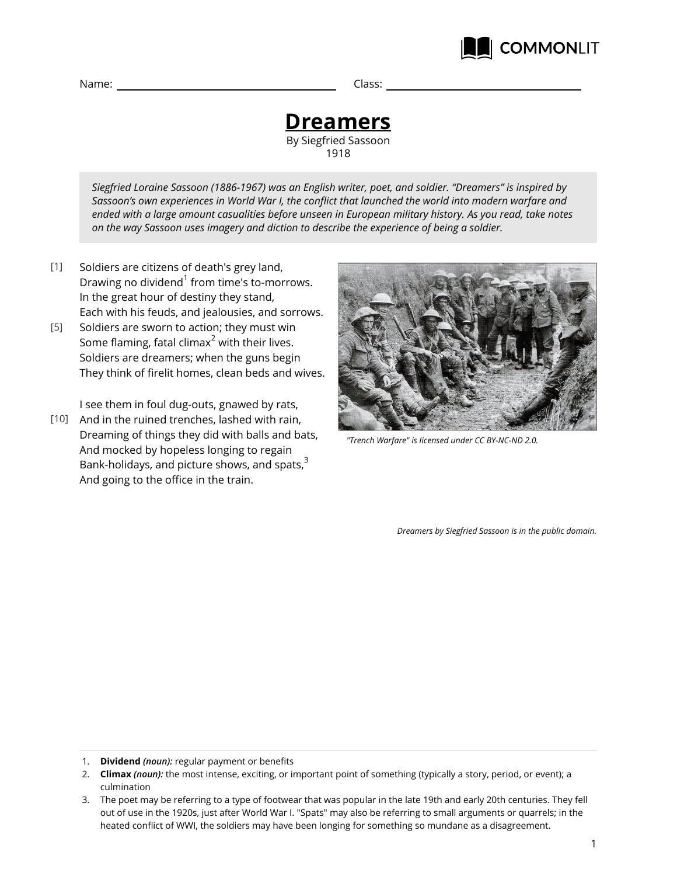### **Dreamers** By Siegfried Sassoon 1918

*Siegfried Loraine Sassoon (1886-1967) was an English writer, poet, and soldier. "Dreamers" is inspired by Sassoon's own experiences in World War I, the conflict that launched the world into modern warfare and ended with a large amount casualities before unseen in European military history. As you read, take notes on the way Sassoon uses imagery and diction to describe the experience of being a soldier.*

- Soldiers are citizens of death's grey land, Drawing no dividend $^{\rm 1}$  from time's to-morrows. In the great hour of destiny they stand, Each with his feuds, and jealousies, and sorrows. [1]
- Soldiers are sworn to action; they must win Some flaming, fatal climax<sup>2</sup> with their lives. Soldiers are dreamers; when the guns begin They think of firelit homes, clean beds and wives. [5]

I see them in foul dug-outs, gnawed by rats,

[10] And in the ruined trenches, lashed with rain, Dreaming of things they did with balls and bats, And mocked by hopeless longing to regain Bank-holidays, and picture shows, and spats, $3$ And going to the office in the train.



**COMMONLIT** 

*"Trench Warfare" is licensed under CC BY-NC-ND 2.0.*

*Dreamers by Siegfried Sassoon is in the public domain.*

- 1. **Dividend** *(noun):* regular payment or benefits
- 2. **Climax** *(noun):* the most intense, exciting, or important point of something (typically a story, period, or event); a culmination
- 3. The poet may be referring to a type of footwear that was popular in the late 19th and early 20th centuries. They fell out of use in the 1920s, just after World War I. "Spats" may also be referring to small arguments or quarrels; in the heated conflict of WWI, the soldiers may have been longing for something so mundane as a disagreement.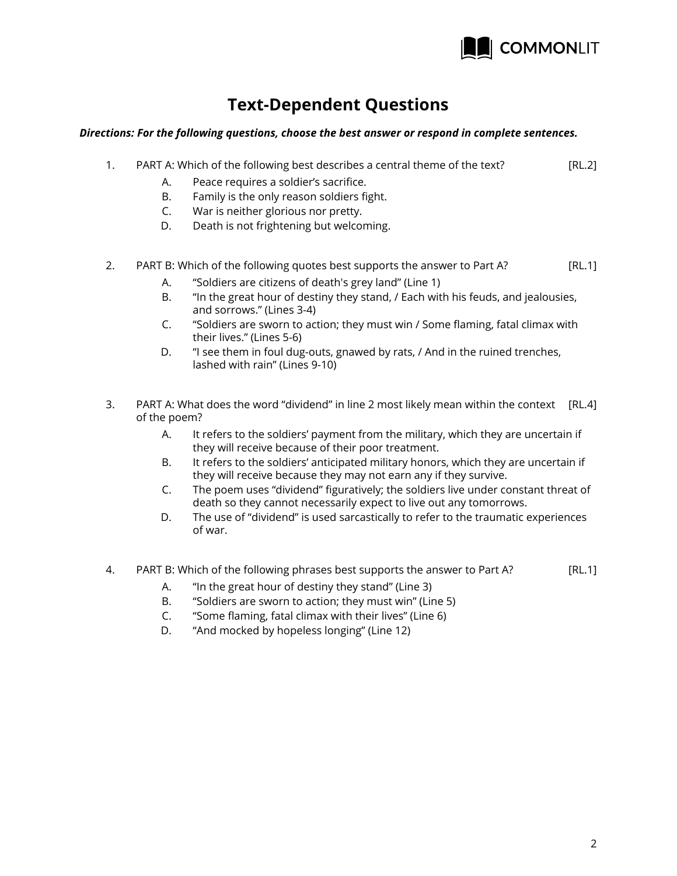

## **Text-Dependent Questions**

### *Directions: For the following questions, choose the best answer or respond in complete sentences.*

- [RL.2] 1. PART A: Which of the following best describes a central theme of the text?
	- A. Peace requires a soldier's sacrifice.
	- B. Family is the only reason soldiers fight.
	- C. War is neither glorious nor pretty.
	- D. Death is not frightening but welcoming.

#### [RL.1] 2. PART B: Which of the following quotes best supports the answer to Part A?

- A. "Soldiers are citizens of death's grey land" (Line 1)
- B. "In the great hour of destiny they stand, / Each with his feuds, and jealousies, and sorrows." (Lines 3-4)
- C. "Soldiers are sworn to action; they must win / Some flaming, fatal climax with their lives." (Lines 5-6)
- D. "I see them in foul dug-outs, gnawed by rats, / And in the ruined trenches, lashed with rain" (Lines 9-10)
- 3. PART A: What does the word "dividend" in line 2 most likely mean within the context [RL.4] of the poem?
	- A. It refers to the soldiers' payment from the military, which they are uncertain if they will receive because of their poor treatment.
	- B. It refers to the soldiers' anticipated military honors, which they are uncertain if they will receive because they may not earn any if they survive.
	- C. The poem uses "dividend" figuratively; the soldiers live under constant threat of death so they cannot necessarily expect to live out any tomorrows.
	- D. The use of "dividend" is used sarcastically to refer to the traumatic experiences of war.
- [RL.1] 4. PART B: Which of the following phrases best supports the answer to Part A?
	- A. "In the great hour of destiny they stand" (Line 3)
	- B. "Soldiers are sworn to action; they must win" (Line 5)
	- C. "Some flaming, fatal climax with their lives" (Line 6)
	- D. "And mocked by hopeless longing" (Line 12)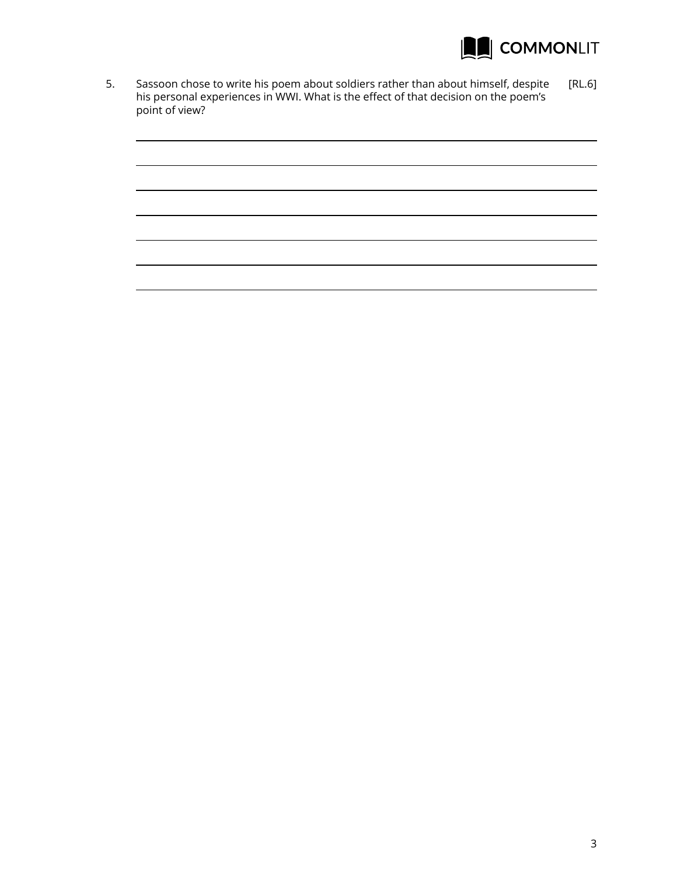

5. Sassoon chose to write his poem about soldiers rather than about himself, despite [RL.6] his personal experiences in WWI. What is the effect of that decision on the poem's point of view?